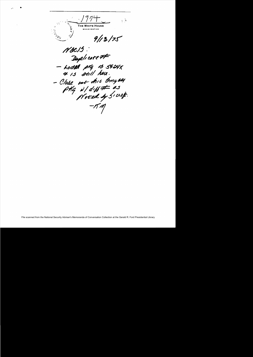्र दे THE WHITE HOUSE  $9/13/75$  $N$ BC $15$ . Duplicate # - hodat pkg 15 5924X - Close out this Broughly<br>PHG N / diff # as<br>Noted by Sicroft.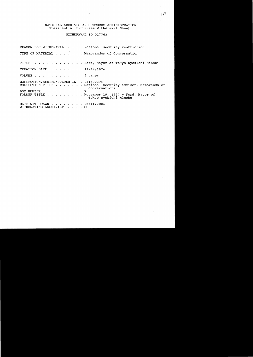### NATIONAL ARCHIVES AND RECORDS ADMINISTRATION Presidential Libraries Withdrawal Sheet

WITHDRAWAL ID 017763

REASON FOR WITHDRAWAL . . . . National security restriction TYPE OF MATERIAL . . . . . . Memorandum of Conversation TITLE . . . Ford, Mayor of Tokyo Ryokichi Minobi CREATION·DATE . . . . 11/19/1974 VOLUME  $\cdots$   $\cdots$   $\cdots$   $\cdots$   $\cdots$   $\cdots$  4 pages COLLECTION/SERIES/FOLDER ID . 031400294 COLLECTION TITLE ... . National Security Adviser. Memoranda of Conversations BOX NUMBER . . . . . . . . . . 7<br>FOLDER TITLE . . . . . . . . November 19, 1974 - Ford, Mayor of Tokyo Ryokichi Minobe DATE WITHDRAWN . . . . . . . . 05/11/2004 WITHDRAWING ARCHIVIST . . GG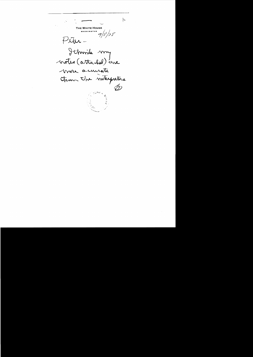#### THE WHITE HOUSE

NGTON

 $\sqrt{2/25}$ 

 $\mathcal{L}$ ler



Ware -curate interpretas than the

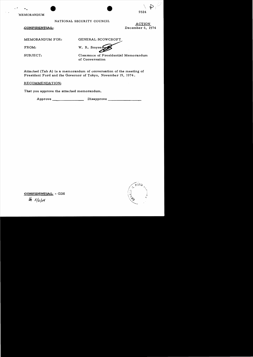$\sim$  5924 ·MEMORANDUM

## NATIONAL SECURITY COUNCIL

ACTION **CONFIDENTIAL** December 6, 1974

 $\mathbf{p}_{i}$ 

MEMORANDUM FOR: GENERAL SCOWCROFT

FROM: W. R. Smyser

SUBJECT: Clearance of Presidential Memorandum of Conversation

Attached (Tab A) is a memorandum of conversation of the meeting of President Ford and the Governor of Tokyo, November 19, 1974.

## RECOMMENDATION:

That you approve the attached memorandwn.

Approve \_\_\_\_\_\_\_\_\_ Disapprove \_\_\_\_\_\_\_\_\_\_\_



GONFIDENTIAL. - GDS

IAt *.5/b/()¥*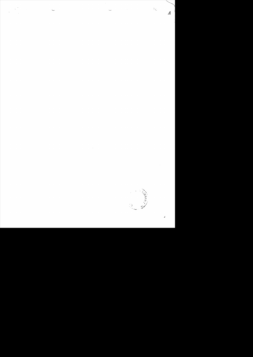**Contract Contract Contract Contract Contract Contract Contract Contract Contract Contract Contract Contract Contract Contract Contract Contract Contract Contract Contract Contract Contract Contract Contract Contract Contr** 

 $\pmb{\downarrow}$ 

 $\Omega$ 

 $\boldsymbol{A}$